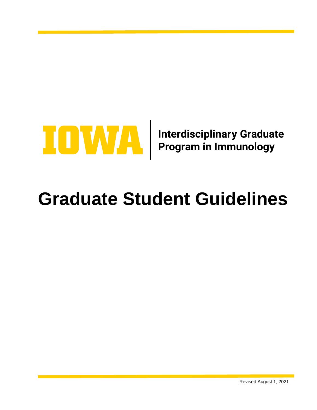

# **Graduate Student Guidelines**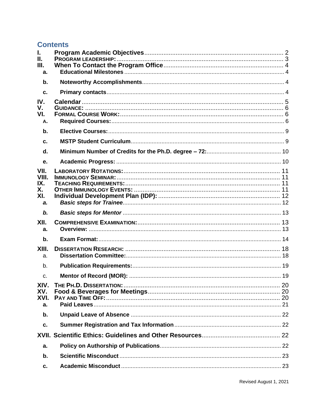# **Contents**

| I.<br>Ш.<br>Ш.<br>a.                    |  |
|-----------------------------------------|--|
| b.                                      |  |
| C.                                      |  |
| IV.<br>V.<br>VI.<br>A.                  |  |
| b.                                      |  |
| C.                                      |  |
| d.                                      |  |
| е.                                      |  |
| VII.<br>VIII.<br>IX.<br>Х.<br>XI.<br>a. |  |
| b.                                      |  |
| XII.<br>a.                              |  |
| $b$ .                                   |  |
| XIII.<br>a.                             |  |
| b.                                      |  |
| $C_{\cdot}$                             |  |
| XIV.<br>XV.<br>XVI.<br>a.               |  |
| b.                                      |  |
| c.                                      |  |
| XVII.                                   |  |
| a.                                      |  |
| b.                                      |  |
| c.                                      |  |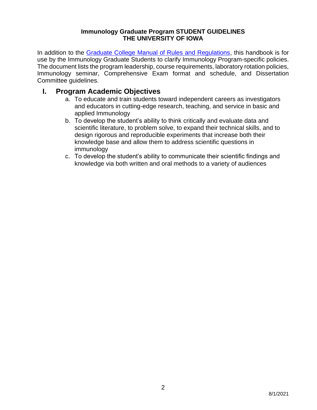## **Immunology Graduate Program STUDENT GUIDELINES THE UNIVERSITY OF IOWA**

In addition to the [Graduate College Manual of Rules and Regulations,](https://grad.uiowa.edu/academics/manual) this handbook is for use by the Immunology Graduate Students to clarify Immunology Program-specific policies. The document lists the program leadership, course requirements, laboratory rotation policies, Immunology seminar, Comprehensive Exam format and schedule, and Dissertation Committee guidelines.

# <span id="page-3-0"></span>**I. Program Academic Objectives**

- a. To educate and train students toward independent careers as investigators and educators in cutting-edge research, teaching, and service in basic and applied Immunology
- b. To develop the student's ability to think critically and evaluate data and scientific literature, to problem solve, to expand their technical skills, and to design rigorous and reproducible experiments that increase both their knowledge base and allow them to address scientific questions in immunology
- c. To develop the student's ability to communicate their scientific findings and knowledge via both written and oral methods to a variety of audiences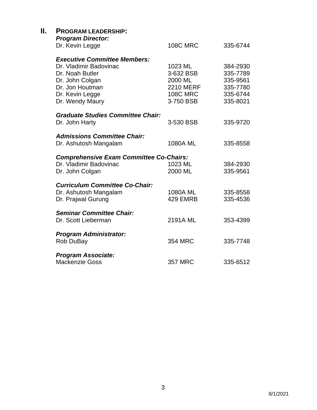<span id="page-4-0"></span>

| Ш. | <b>PROGRAM LEADERSHIP:</b><br><b>Program Director:</b><br>Dr. Kevin Legge                                                                                    | <b>108C MRC</b>                                                                     | 335-6744                                                             |
|----|--------------------------------------------------------------------------------------------------------------------------------------------------------------|-------------------------------------------------------------------------------------|----------------------------------------------------------------------|
|    | <b>Executive Committee Members:</b><br>Dr. Vladimir Badovinac<br>Dr. Noah Butler<br>Dr. John Colgan<br>Dr. Jon Houtman<br>Dr. Kevin Legge<br>Dr. Wendy Maury | 1023 ML<br>3-632 BSB<br>2000 ML<br><b>2210 MERF</b><br><b>108C MRC</b><br>3-750 BSB | 384-2930<br>335-7789<br>335-9561<br>335-7780<br>335-6744<br>335-8021 |
|    | <b>Graduate Studies Committee Chair:</b><br>Dr. John Harty                                                                                                   | 3-530 BSB                                                                           | 335-9720                                                             |
|    | <b>Admissions Committee Chair:</b><br>Dr. Ashutosh Mangalam                                                                                                  | 1080A ML                                                                            | 335-8558                                                             |
|    | <b>Comprehensive Exam Committee Co-Chairs:</b><br>Dr. Vladimir Badovinac<br>Dr. John Colgan                                                                  | 1023 ML<br>2000 ML                                                                  | 384-2930<br>335-9561                                                 |
|    | <b>Curriculum Committee Co-Chair:</b><br>Dr. Ashutosh Mangalam<br>Dr. Prajwal Gurung                                                                         | 1080A ML<br>429 EMRB                                                                | 335-8558<br>335-4536                                                 |
|    | <b>Seminar Committee Chair:</b><br>Dr. Scott Lieberman                                                                                                       | 2191A ML                                                                            | 353-4399                                                             |
|    | <b>Program Administrator:</b><br>Rob DuBay                                                                                                                   | <b>354 MRC</b>                                                                      | 335-7748                                                             |
|    | <b>Program Associate:</b><br><b>Mackenzie Goss</b>                                                                                                           | <b>357 MRC</b>                                                                      | 335-6512                                                             |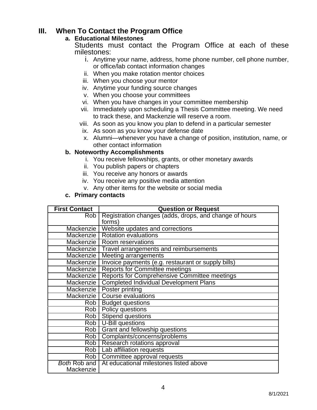# <span id="page-5-1"></span><span id="page-5-0"></span>**III. When To Contact the Program Office**

## **a. Educational Milestones**

Students must contact the Program Office at each of these milestones:

- i. Anytime your name, address, home phone number, cell phone number, or office/lab contact information changes
- ii. When you make rotation mentor choices
- iii. When you choose your mentor
- iv. Anytime your funding source changes
- v. When you choose your committees
- vi. When you have changes in your committee membership
- vii. Immediately upon scheduling a Thesis Committee meeting. We need to track these, and Mackenzie will reserve a room.
- viii. As soon as you know you plan to defend in a particular semester
	- ix. As soon as you know your defense date
	- x. Alumni—whenever you have a change of position, institution, name, or other contact information

## <span id="page-5-2"></span>**b. Noteworthy Accomplishments**

- i. You receive fellowships, grants, or other monetary awards
- ii. You publish papers or chapters
- iii. You receive any honors or awards
- iv. You receive any positive media attention
- v. Any other items for the website or social media

#### **c. Primary contacts**

<span id="page-5-3"></span>

| <b>First Contact</b> | <b>Question or Request</b>                             |
|----------------------|--------------------------------------------------------|
| Rob                  | Registration changes (adds, drops, and change of hours |
|                      | forms)                                                 |
| Mackenzie            | Website updates and corrections                        |
| Mackenzie            | <b>Rotation evaluations</b>                            |
| Mackenzie            | Room reservations                                      |
| Mackenzie            | Travel arrangements and reimbursements                 |
| Mackenzie            | Meeting arrangements                                   |
| Mackenzie            | Invoice payments (e.g. restaurant or supply bills)     |
| Mackenzie            | <b>Reports for Committee meetings</b>                  |
| Mackenzie            | Reports for Comprehensive Committee meetings           |
| Mackenzie            | <b>Completed Individual Development Plans</b>          |
| Mackenzie            | Poster printing                                        |
| Mackenzie            | <b>Course evaluations</b>                              |
| Rob                  | <b>Budget questions</b>                                |
| Rob I                | Policy questions                                       |
| Rob                  | Stipend questions                                      |
| $\overline{Rob}$     | U-Bill questions                                       |
| Rob                  | Grant and fellowship questions                         |
| Rob <sup>1</sup>     | Complaints/concerns/problems                           |
| Rob                  | Research rotations approval                            |
|                      | Rob   Lab affiliation requests                         |
| Rob <sub>1</sub>     | Committee approval requests                            |
| <b>Both Rob and</b>  | At educational milestones listed above                 |
| Mackenzie            |                                                        |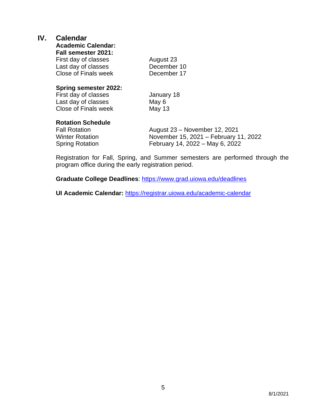## <span id="page-6-0"></span>**IV. Calendar**

**Academic Calendar:**

**Fall semester 2021:**

| August 23   |
|-------------|
| December 10 |
| December 17 |
|             |

#### **Spring semester 2022:**

First day of classes January 18 Last day of classes May 6 Close of Finals week May 13

## **Rotation Schedule**

Fall Rotation **August 23 – November 12, 2021** Winter Rotation November 15, 2021 – February 11, 2022 Spring Rotation February 14, 2022 – May 6, 2022

Registration for Fall, Spring, and Summer semesters are performed through the program office during the early registration period.

**Graduate College Deadlines**:<https://www.grad.uiowa.edu/deadlines>

**UI Academic Calendar:** <https://registrar.uiowa.edu/academic-calendar>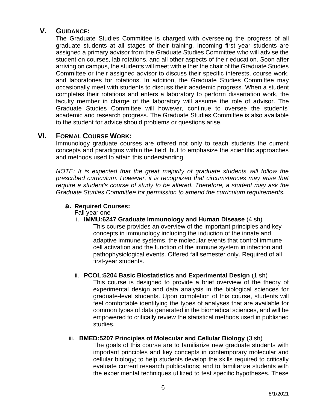## <span id="page-7-0"></span>**V. GUIDANCE:**

The Graduate Studies Committee is charged with overseeing the progress of all graduate students at all stages of their training. Incoming first year students are assigned a primary advisor from the Graduate Studies Committee who will advise the student on courses, lab rotations, and all other aspects of their education. Soon after arriving on campus, the students will meet with either the chair of the Graduate Studies Committee or their assigned advisor to discuss their specific interests, course work, and laboratories for rotations. In addition, the Graduate Studies Committee may occasionally meet with students to discuss their academic progress. When a student completes their rotations and enters a laboratory to perform dissertation work, the faculty member in charge of the laboratory will assume the role of advisor. The Graduate Studies Committee will however, continue to oversee the students' academic and research progress. The Graduate Studies Committee is also available to the student for advice should problems or questions arise.

## <span id="page-7-1"></span>**VI. FORMAL COURSE WORK:**

Immunology graduate courses are offered not only to teach students the current concepts and paradigms within the field, but to emphasize the scientific approaches and methods used to attain this understanding.

*NOTE: It is expected that the great majority of graduate students will follow the prescribed curriculum. However, it is recognized that circumstances may arise that require a student's course of study to be altered. Therefore, a student may ask the Graduate Studies Committee for permission to amend the curriculum requirements.*

## <span id="page-7-2"></span>**a. Required Courses:**

Fall year one

i. **IMMU:6247 Graduate Immunology and Human Disease** (4 sh)

This course provides an overview of the important principles and key concepts in immunology including the induction of the innate and adaptive immune systems, the molecular events that control immune cell activation and the function of the immune system in infection and pathophysiological events. Offered fall semester only. Required of all first-year students.

#### ii. **PCOL:5204 Basic Biostatistics and Experimental Design** (1 sh) This course is designed to provide a brief overview of the theory of experimental design and data analysis in the biological sciences for graduate-level students. Upon completion of this course, students will feel comfortable identifying the types of analyses that are available for common types of data generated in the biomedical sciences, and will be empowered to critically review the statistical methods used in published studies.

## iii. **BMED:5207 Principles of Molecular and Cellular Biology** (3 sh)

The goals of this course are to familiarize new graduate students with important principles and key concepts in contemporary molecular and cellular biology; to help students develop the skills required to critically evaluate current research publications; and to familiarize students with the experimental techniques utilized to test specific hypotheses. These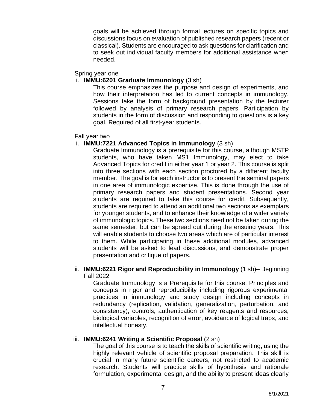goals will be achieved through formal lectures on specific topics and discussions focus on evaluation of published research papers (recent or classical). Students are encouraged to ask questions for clarification and to seek out individual faculty members for additional assistance when needed.

#### Spring year one

#### i. **IMMU:6201 Graduate Immunology** (3 sh)

This course emphasizes the purpose and design of experiments, and how their interpretation has led to current concepts in immunology. Sessions take the form of background presentation by the lecturer followed by analysis of primary research papers. Participation by students in the form of discussion and responding to questions is a key goal. Required of all first-year students.

#### Fall year two

#### i. **IMMU:7221 Advanced Topics in Immunology** (3 sh)

Graduate Immunology is a prerequisite for this course, although MSTP students, who have taken MS1 Immunology, may elect to take Advanced Topics for credit in either year 1 or year 2. This course is split into three sections with each section proctored by a different faculty member. The goal is for each instructor is to present the seminal papers in one area of immunologic expertise. This is done through the use of primary research papers and student presentations. Second year students are required to take this course for credit. Subsequently, students are required to attend an additional two sections as exemplars for younger students, and to enhance their knowledge of a wider variety of immunologic topics. These two sections need not be taken during the same semester, but can be spread out during the ensuing years. This will enable students to choose two areas which are of particular interest to them. While participating in these additional modules, advanced students will be asked to lead discussions, and demonstrate proper presentation and critique of papers.

#### ii. **IMMU:6221 Rigor and Reproducibility in Immunology** (1 sh)– Beginning Fall 2022

Graduate Immunology is a Prerequisite for this course. Principles and concepts in rigor and reproducibility including rigorous experimental practices in immunology and study design including concepts in redundancy (replication, validation, generalization, perturbation, and consistency), controls, authentication of key reagents and resources, biological variables, recognition of error, avoidance of logical traps, and intellectual honesty.

#### iii. **IMMU:6241 Writing a Scientific Proposal** (2 sh)

The goal of this course is to teach the skills of scientific writing, using the highly relevant vehicle of scientific proposal preparation. This skill is crucial in many future scientific careers, not restricted to academic research. Students will practice skills of hypothesis and rationale formulation, experimental design, and the ability to present ideas clearly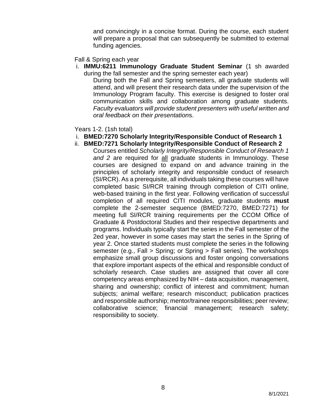and convincingly in a concise format. During the course, each student will prepare a proposal that can subsequently be submitted to external funding agencies.

#### Fall & Spring each year

i. **IMMU:6211 Immunology Graduate Student Seminar** (1 sh awarded during the fall semester and the spring semester each year)

During both the Fall and Spring semesters, all graduate students will attend, and will present their research data under the supervision of the Immunology Program faculty. This exercise is designed to foster oral communication skills and collaboration among graduate students. *Faculty evaluators will provide student presenters with useful written and oral feedback on their presentation*s.

Years 1-2. (1sh total)

- i. **BMED:7270 Scholarly Integrity/Responsible Conduct of Research 1**
- ii. **BMED:7271 Scholarly Integrity/Responsible Conduct of Research 2**

Courses entitled *Scholarly Integrity/Responsible Conduct of Research 1 and 2* are required for all graduate students in Immunology. These courses are designed to expand on and advance training in the principles of scholarly integrity and responsible conduct of research (SI/RCR). As a prerequisite, all individuals taking these courses will have completed basic SI/RCR training through completion of CITI online, web-based training in the first year. Following verification of successful completion of all required CITI modules, graduate students **must**  complete the 2-semester sequence (BMED:7270, BMED:7271) for meeting full SI/RCR training requirements per the CCOM Office of Graduate & Postdoctoral Studies and their respective departments and programs. Individuals typically start the series in the Fall semester of the 2ed year, however in some cases may start the series in the Spring of year 2. Once started students must complete the series in the following semester (e.g., Fall > Spring; or Spring > Fall series). The workshops emphasize small group discussions and foster ongoing conversations that explore important aspects of the ethical and responsible conduct of scholarly research. Case studies are assigned that cover all core competency areas emphasized by NIH – data acquisition, management, sharing and ownership; conflict of interest and commitment; human subjects; animal welfare; research misconduct; publication practices and responsible authorship; mentor/trainee responsibilities; peer review; collaborative science; financial management; research safety; responsibility to society.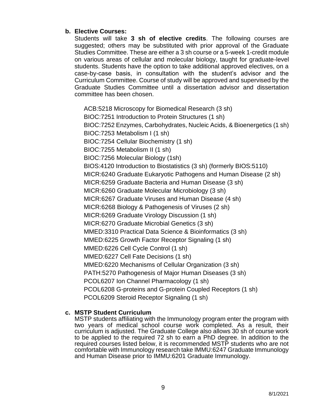## <span id="page-10-0"></span>**b. Elective Courses:**

Students will take **3 sh of elective credits**. The following courses are suggested; others may be substituted with prior approval of the Graduate Studies Committee. These are either a 3 sh course or a 5-week 1-credit module on various areas of cellular and molecular biology, taught for graduate-level students. Students have the option to take additional approved electives, on a case-by-case basis, in consultation with the student's advisor and the Curriculum Committee. Course of study will be approved and supervised by the Graduate Studies Committee until a dissertation advisor and dissertation committee has been chosen.

ACB:5218 Microscopy for Biomedical Research (3 sh) BIOC:7251 Introduction to Protein Structures (1 sh) BIOC:7252 Enzymes, Carbohydrates, Nucleic Acids, & Bioenergetics (1 sh) BIOC:7253 Metabolism I (1 sh) BIOC:7254 Cellular Biochemistry (1 sh) BIOC:7255 Metabolism II (1 sh) BIOC:7256 Molecular Biology (1sh) BIOS:4120 Introduction to Biostatistics (3 sh) (formerly BIOS:5110) MICR:6240 Graduate Eukaryotic Pathogens and Human Disease (2 sh) MICR:6259 Graduate Bacteria and Human Disease (3 sh) MICR:6260 Graduate Molecular Microbiology (3 sh) MICR:6267 Graduate Viruses and Human Disease (4 sh) MICR:6268 Biology & Pathogenesis of Viruses (2 sh) MICR:6269 Graduate Virology Discussion (1 sh) MICR:6270 Graduate Microbial Genetics (3 sh) MMED:3310 Practical Data Science & Bioinformatics (3 sh) MMED:6225 Growth Factor Receptor Signaling (1 sh) MMED:6226 Cell Cycle Control (1 sh) MMED:6227 Cell Fate Decisions (1 sh) MMED:6220 Mechanisms of Cellular Organization (3 sh) PATH:5270 Pathogenesis of Major Human Diseases (3 sh) PCOL6207 Ion Channel Pharmacology (1 sh) PCOL6208 G-proteins and G-protein Coupled Receptors (1 sh) PCOL6209 Steroid Receptor Signaling (1 sh)

## <span id="page-10-1"></span>**c. MSTP Student Curriculum**

MSTP students affiliating with the Immunology program enter the program with two years of medical school course work completed. As a result, their curriculum is adjusted. The Graduate College also allows 30 sh of course work to be applied to the required 72 sh to earn a PhD degree. In addition to the required courses listed below, it is recommended MSTP students who are not comfortable with Immunology research take IMMU:6247 Graduate Immunology and Human Disease prior to IMMU:6201 Graduate Immunology.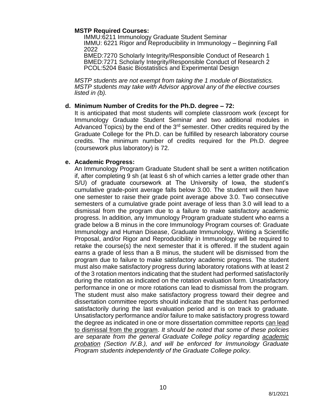#### **MSTP Required Courses:**

IMMU:6211 Immunology Graduate Student Seminar IMMU: 6221 Rigor and Reproducibility in Immunology – Beginning Fall 2022

BMED:7270 Scholarly Integrity/Responsible Conduct of Research 1 BMED:7271 Scholarly Integrity/Responsible Conduct of Research 2 PCOL:5204 Basic Biostatistics and Experimental Design

*MSTP students are not exempt from taking the 1 module of Biostatistics. MSTP students may take with Advisor approval any of the elective courses listed in (b).*

#### <span id="page-11-0"></span>**d. Minimum Number of Credits for the Ph.D. degree – 72:**

It is anticipated that most students will complete classroom work (except for Immunology Graduate Student Seminar and two additional modules in Advanced Topics) by the end of the 3rd semester. Other credits required by the Graduate College for the Ph.D. can be fulfilled by research laboratory course credits. The minimum number of credits required for the Ph.D. degree (coursework plus laboratory) is 72.

#### <span id="page-11-1"></span>**e. Academic Progress:**

An Immunology Program Graduate Student shall be sent a written notification if, after completing 9 sh (at least 6 sh of which carries a letter grade other than S/U) of graduate coursework at The University of Iowa, the student's cumulative grade-point average falls below 3.00. The student will then have one semester to raise their grade point average above 3.0. Two consecutive semesters of a cumulative grade point average of less than 3.0 will lead to a dismissal from the program due to a failure to make satisfactory academic progress. In addition, any Immunology Program graduate student who earns a grade below a B minus in the core Immunology Program courses of: Graduate Immunology and Human Disease, Graduate Immunology, Writing a Scientific Proposal, and/or Rigor and Reproducibility in Immunology will be required to retake the course(s) the next semester that it is offered. If the student again earns a grade of less than a B minus, the student will be dismissed from the program due to failure to make satisfactory academic progress. The student must also make satisfactory progress during laboratory rotations with at least 2 of the 3 rotation mentors indicating that the student had performed satisfactorily during the rotation as indicated on the rotation evaluation form. Unsatisfactory performance in one or more rotations can lead to dismissal from the program. The student must also make satisfactory progress toward their degree and dissertation committee reports should indicate that the student has performed satisfactorily during the last evaluation period and is on track to graduate. Unsatisfactory performance and/or failure to make satisfactory progress toward the degree as indicated in one or more dissertation committee reports can lead to dismissal from the program. *It should be noted that some of these policies are separate from the general Graduate College policy regarding academic probation (Section IV.B.), and will be enforced for Immunology Graduate Program students independently of the Graduate College policy.*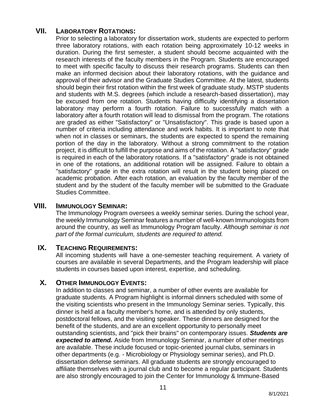# <span id="page-12-0"></span>**VII. LABORATORY ROTATIONS:**

Prior to selecting a laboratory for dissertation work, students are expected to perform three laboratory rotations, with each rotation being approximately 10-12 weeks in duration. During the first semester, a student should become acquainted with the research interests of the faculty members in the Program. Students are encouraged to meet with specific faculty to discuss their research programs. Students can then make an informed decision about their laboratory rotations, with the guidance and approval of their advisor and the Graduate Studies Committee. At the latest, students should begin their first rotation within the first week of graduate study. MSTP students and students with M.S. degrees (which include a research-based dissertation), may be excused from one rotation. Students having difficulty identifying a dissertation laboratory may perform a fourth rotation. Failure to successfully match with a laboratory after a fourth rotation will lead to dismissal from the program. The rotations are graded as either "Satisfactory" or "Unsatisfactory". This grade is based upon a number of criteria including attendance and work habits. It is important to note that when not in classes or seminars, the students are expected to spend the remaining portion of the day in the laboratory. Without a strong commitment to the rotation project, it is difficult to fulfill the purpose and aims of the rotation. A "satisfactory" grade is required in each of the laboratory rotations. If a "satisfactory" grade is not obtained in one of the rotations, an additional rotation will be assigned. Failure to obtain a "satisfactory" grade in the extra rotation will result in the student being placed on academic probation. After each rotation, an evaluation by the faculty member of the student and by the student of the faculty member will be submitted to the Graduate Studies Committee.

## <span id="page-12-1"></span>**VIII. IMMUNOLOGY SEMINAR:**

The Immunology Program oversees a weekly seminar series. During the school year, the weekly Immunology Seminar features a number of well-known Immunologists from around the country, as well as Immunology Program faculty. *Although seminar is not part of the formal curriculum, students are required to attend.*

## <span id="page-12-2"></span>**IX. TEACHING REQUIREMENTS:**

All incoming students will have a one-semester teaching requirement. A variety of courses are available in several Departments, and the Program leadership will place students in courses based upon interest, expertise, and scheduling.

## <span id="page-12-3"></span>**X. OTHER IMMUNOLOGY EVENTS:**

In addition to classes and seminar, a number of other events are available for graduate students. A Program highlight is informal dinners scheduled with some of the visiting scientists who present in the Immunology Seminar series. Typically, this dinner is held at a faculty member's home, and is attended by only students, postdoctoral fellows, and the visiting speaker. These dinners are designed for the benefit of the students, and are an excellent opportunity to personally meet outstanding scientists, and "pick their brains" on contemporary issues. *Students are expected to attend.* Aside from Immunology Seminar, a number of other meetings are available. These include focused or topic-oriented journal clubs, seminars in other departments (e.g. - Microbiology or Physiology seminar series), and Ph.D. dissertation defense seminars. All graduate students are strongly encouraged to affiliate themselves with a journal club and to become a regular participant. Students are also strongly encouraged to join the Center for Immunology & Immune-Based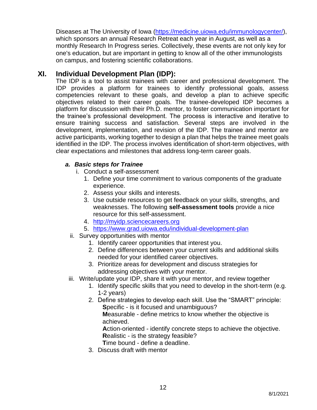Diseases at The University of Iowa [\(https://medicine.uiowa.edu/immunologycenter/\)](https://medicine.uiowa.edu/immunologycenter/), which sponsors an annual Research Retreat each year in August, as well as a monthly Research In Progress series. Collectively, these events are not only key for one's education, but are important in getting to know all of the other immunologists on campus, and fostering scientific collaborations.

# <span id="page-13-0"></span>**XI. Individual Development Plan (IDP):**

The IDP is a tool to assist trainees with career and professional development. The IDP provides a platform for trainees to identify professional goals, assess competencies relevant to these goals, and develop a plan to achieve specific objectives related to their career goals. The trainee-developed IDP becomes a platform for discussion with their Ph.D. mentor, to foster communication important for the trainee's professional development. The process is interactive and iterative to ensure training success and satisfaction. Several steps are involved in the development, implementation, and revision of the IDP. The trainee and mentor are active participants, working together to design a plan that helps the trainee meet goals identified in the IDP. The process involves identification of short-term objectives, with clear expectations and milestones that address long-term career goals.

## <span id="page-13-1"></span>*a. Basic steps for Trainee*

- i. Conduct a self-assessment
	- 1. Define your time commitment to various components of the graduate experience.
	- 2. Assess your skills and interests.
	- 3. Use outside resources to get feedback on your skills, strengths, and weaknesses. The following **self-assessment tools** provide a nice resource for this self-assessment.
	- 4. [http://myidp.sciencecareers.org](http://myidp.sciencecareers.org/)
	- 5. <https://www.grad.uiowa.edu/individual-development-plan>
- ii. Survey opportunities with mentor
	- 1. Identify career opportunities that interest you.
	- 2. Define differences between your current skills and additional skills needed for your identified career objectives.
	- 3. Prioritize areas for development and discuss strategies for addressing objectives with your mentor.
- iii. Write/update your IDP, share it with your mentor, and review together
	- 1. Identify specific skills that you need to develop in the short-term (e.g. 1-2 years)
	- 2. Define strategies to develop each skill. Use the "SMART" principle: **S**pecific - is it focused and unambiguous?

**M**easurable - define metrics to know whether the objective is achieved.

**A**ction-oriented - identify concrete steps to achieve the objective. **R**ealistic - is the strategy feasible?

**T**ime bound - define a deadline.

3. Discuss draft with mentor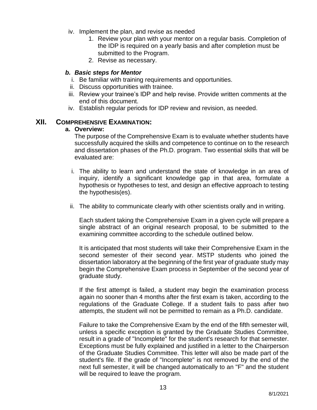- iv. Implement the plan, and revise as needed
	- 1. Review your plan with your mentor on a regular basis. Completion of the IDP is required on a yearly basis and after completion must be submitted to the Program.
	- 2. Revise as necessary.

#### <span id="page-14-0"></span>*b. Basic steps for Mentor*

- i. Be familiar with training requirements and opportunities.
- ii. Discuss opportunities with trainee.
- iii. Review your trainee's IDP and help revise. Provide written comments at the end of this document.
- iv. Establish regular periods for IDP review and revision, as needed.

#### <span id="page-14-2"></span><span id="page-14-1"></span>**XII. COMPREHENSIVE EXAMINATION:**

#### **a. Overview:**

The purpose of the Comprehensive Exam is to evaluate whether students have successfully acquired the skills and competence to continue on to the research and dissertation phases of the Ph.D. program. Two essential skills that will be evaluated are:

- i. The ability to learn and understand the state of knowledge in an area of inquiry, identify a significant knowledge gap in that area, formulate a hypothesis or hypotheses to test, and design an effective approach to testing the hypothesis(es).
- ii. The ability to communicate clearly with other scientists orally and in writing.

Each student taking the Comprehensive Exam in a given cycle will prepare a single abstract of an original research proposal, to be submitted to the examining committee according to the schedule outlined below.

It is anticipated that most students will take their Comprehensive Exam in the second semester of their second year. MSTP students who joined the dissertation laboratory at the beginning of the first year of graduate study may begin the Comprehensive Exam process in September of the second year of graduate study.

If the first attempt is failed, a student may begin the examination process again no sooner than 4 months after the first exam is taken, according to the regulations of the Graduate College. If a student fails to pass after two attempts, the student will not be permitted to remain as a Ph.D. candidate.

Failure to take the Comprehensive Exam by the end of the fifth semester will, unless a specific exception is granted by the Graduate Studies Committee, result in a grade of "Incomplete" for the student's research for that semester. Exceptions must be fully explained and justified in a letter to the Chairperson of the Graduate Studies Committee. This letter will also be made part of the student's file. If the grade of "Incomplete" is not removed by the end of the next full semester, it will be changed automatically to an "F" and the student will be required to leave the program.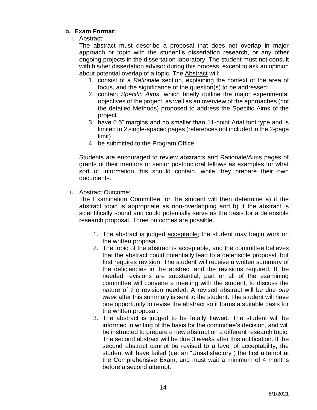## <span id="page-15-0"></span>**b. Exam Format:**

i. Abstract:

The abstract must describe a proposal that does not overlap in major approach or topic with the student's dissertation research, or any other ongoing projects in the dissertation laboratory. The student must not consult with his/her dissertation advisor during this process, except to ask an opinion about potential overlap of a topic. The Abstract will:

- 1. consist of a *Rationale* section, explaining the context of the area of focus, and the significance of the question(s) to be addressed;
- 2. contain *Specific Aims*, which briefly outline the major experimental objectives of the project, as well as an overview of the approaches (not the detailed Methods) proposed to address the Specific Aims of the project.
- 3. have 0.5" margins and no smaller than 11-point Arial font type and is limited to 2 single-spaced pages (references not included in the 2-page limit)
- 4. be submitted to the Program Office.

Students are encouraged to review abstracts and Rationale/Aims pages of grants of their mentors or senior postdoctoral fellows as examples for what sort of information this should contain, while they prepare their own documents.

ii. Abstract Outcome:

The Examination Committee for the student will then determine a) if the abstract topic is appropriate as non-overlapping and b) if the abstract is scientifically sound and could potentially serve as the basis for a defensible research proposal. Three outcomes are possible.

- 1. The abstract is judged acceptable; the student may begin work on the written proposal.
- 2. The topic of the abstract is acceptable, and the committee believes that the abstract could potentially lead to a defensible proposal, but first requires revision. The student will receive a written summary of the deficiencies in the abstract and the revisions required. If the needed revisions are substantial, part or all of the examining committee will convene a meeting with the student, to discuss the nature of the revision needed. A revised abstract will be due *one week* after this summary is sent to the student. The student will have one opportunity to revise the abstract so it forms a suitable basis for the written proposal.
- 3. The abstract is judged to be fatally flawed. The student will be informed in writing of the basis for the committee's decision, and will be instructed to prepare a new abstract on a different research topic. The second abstract will be due *3 weeks* after this notification. If the second abstract cannot be revised to a level of acceptability, the student will have failed (i.e. an "Unsatisfactory") the first attempt at the Comprehensive Exam, and must wait a minimum of 4 months before a second attempt.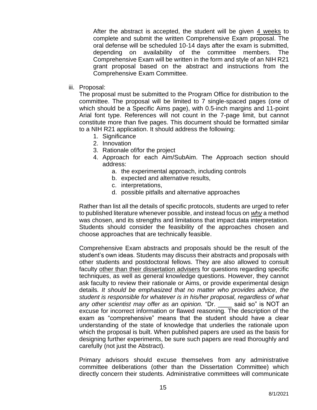After the abstract is accepted, the student will be given 4 weeks to complete and submit the written Comprehensive Exam proposal. The oral defense will be scheduled 10-14 days after the exam is submitted, depending on availability of the committee members. The Comprehensive Exam will be written in the form and style of an NIH R21 grant proposal based on the abstract and instructions from the Comprehensive Exam Committee.

iii. Proposal:

The proposal must be submitted to the Program Office for distribution to the committee. The proposal will be limited to 7 single-spaced pages (one of which should be a Specific Aims page), with 0.5-inch margins and 11-point Arial font type. References will not count in the 7-page limit, but cannot constitute more than five pages. This document should be formatted similar to a NIH R21 application. It should address the following:

- 1. Significance
- 2. Innovation
- 3. Rationale of/for the project
- 4. Approach for each Aim/SubAim. The Approach section should address:
	- a. the experimental approach, including controls
	- b. expected and alternative results,
	- c. interpretations,
	- d. possible pitfalls and alternative approaches

Rather than list all the details of specific protocols, students are urged to refer to published literature whenever possible, and instead focus on *why* a method was chosen, and its strengths and limitations that impact data interpretation. Students should consider the feasibility of the approaches chosen and choose approaches that are technically feasible.

Comprehensive Exam abstracts and proposals should be the result of the student's own ideas. Students may discuss their abstracts and proposals with other students and postdoctoral fellows. They are also allowed to consult faculty other than their dissertation advisers for questions regarding specific techniques, as well as general knowledge questions. However, they cannot ask faculty to review their rationale or Aims, or provide experimental design details*. It should be emphasized that no matter who provides advice, the student is responsible for whatever is in his/her proposal, regardless of what any other scientist may offer as an opinion.* "Dr. \_\_\_\_ said so" is NOT an excuse for incorrect information or flawed reasoning. The description of the exam as "comprehensive" means that the student should have a clear understanding of the state of knowledge that underlies the rationale upon which the proposal is built. When published papers are used as the basis for designing further experiments, be sure such papers are read thoroughly and carefully (not just the Abstract).

Primary advisors should excuse themselves from any administrative committee deliberations (other than the Dissertation Committee) which directly concern their students. Administrative committees will communicate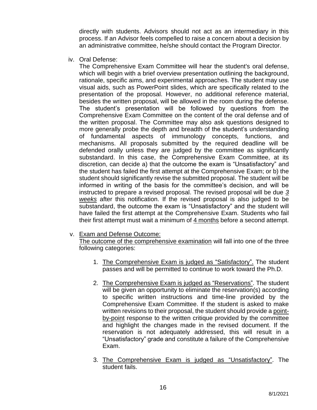directly with students. Advisors should not act as an intermediary in this process. If an Advisor feels compelled to raise a concern about a decision by an administrative committee, he/she should contact the Program Director.

iv. Oral Defense:

The Comprehensive Exam Committee will hear the student's oral defense, which will begin with a brief overview presentation outlining the background, rationale, specific aims, and experimental approaches. The student may use visual aids, such as PowerPoint slides, which are specifically related to the presentation of the proposal. However, no additional reference material, besides the written proposal, will be allowed in the room during the defense. The student's presentation will be followed by questions from the Comprehensive Exam Committee on the content of the oral defense and of the written proposal. The Committee may also ask questions designed to more generally probe the depth and breadth of the student's understanding of fundamental aspects of immunology concepts, functions, and mechanisms. All proposals submitted by the required deadline will be defended orally unless they are judged by the committee as significantly substandard. In this case, the Comprehensive Exam Committee, at its discretion, can decide a) that the outcome the exam is "Unsatisfactory" and the student has failed the first attempt at the Comprehensive Exam; or b) the student should significantly revise the submitted proposal. The student will be informed in writing of the basis for the committee's decision, and will be instructed to prepare a revised proposal. The revised proposal will be due *3 weeks* after this notification. If the revised proposal is also judged to be substandard, the outcome the exam is "Unsatisfactory" and the student will have failed the first attempt at the Comprehensive Exam. Students who fail their first attempt must wait a minimum of 4 months before a second attempt.

#### v. Exam and Defense Outcome:

The outcome of the comprehensive examination will fall into one of the three following categories:

- 1. The Comprehensive Exam is judged as "Satisfactory". The student passes and will be permitted to continue to work toward the Ph.D.
- 2. The Comprehensive Exam is judged as "Reservations". The student will be given an opportunity to eliminate the reservation(s) according to specific written instructions and time-line provided by the Comprehensive Exam Committee. If the student is asked to make written revisions to their proposal, the student should provide a pointby-point response to the written critique provided by the committee and highlight the changes made in the revised document. If the reservation is not adequately addressed, this will result in a "Unsatisfactory" grade and constitute a failure of the Comprehensive Exam.
- 3. The Comprehensive Exam is judged as "Unsatisfactory". The student fails.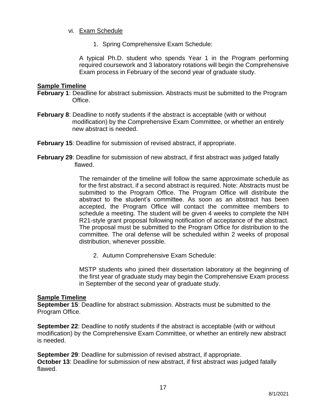## vi. Exam Schedule

1. Spring Comprehensive Exam Schedule:

A typical Ph.D. student who spends Year 1 in the Program performing required coursework and 3 laboratory rotations will begin the Comprehensive Exam process in February of the second year of graduate study.

## **Sample Timeline**

- **February 1**: Deadline for abstract submission. Abstracts must be submitted to the Program Office.
- **February 8**: Deadline to notify students if the abstract is acceptable (with or without modification) by the Comprehensive Exam Committee, or whether an entirely new abstract is needed.
- **February 15**: Deadline for submission of revised abstract, if appropriate.
- **February 29:** Deadline for submission of new abstract, if first abstract was judged fatally flawed.

The remainder of the timeline will follow the same approximate schedule as for the first abstract, if a second abstract is required. Note: Abstracts must be submitted to the Program Office. The Program Office will distribute the abstract to the student's committee. As soon as an abstract has been accepted, the Program Office will contact the committee members to schedule a meeting. The student will be given 4 weeks to complete the NIH R21-style grant proposal following notification of acceptance of the abstract. The proposal must be submitted to the Program Office for distribution to the committee. The oral defense will be scheduled within 2 weeks of proposal distribution, whenever possible.

2. Autumn Comprehensive Exam Schedule:

MSTP students who joined their dissertation laboratory at the beginning of the first year of graduate study may begin the Comprehensive Exam process in September of the second year of graduate study.

## **Sample Timeline**

**September 15**: Deadline for abstract submission. Abstracts must be submitted to the Program Office.

**September 22**: Deadline to notify students if the abstract is acceptable (with or without modification) by the Comprehensive Exam Committee, or whether an entirely new abstract is needed.

**September 29**: Deadline for submission of revised abstract, if appropriate. **October 13**: Deadline for submission of new abstract, if first abstract was judged fatally flawed.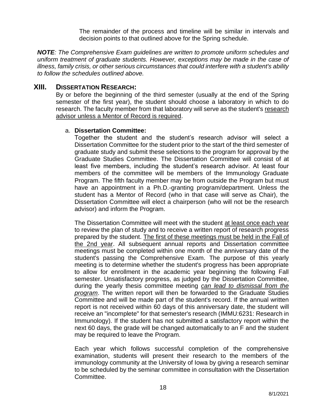The remainder of the process and timeline will be similar in intervals and decision points to that outlined above for the Spring schedule.

*NOTE: The Comprehensive Exam guidelines are written to promote uniform schedules and uniform treatment of graduate students. However, exceptions may be made in the case of illness, family crisis, or other serious circumstances that could interfere with a student's ability to follow the schedules outlined above.*

## <span id="page-19-0"></span>**XIII. DISSERTATION RESEARCH:**

By or before the beginning of the third semester (usually at the end of the Spring semester of the first year), the student should choose a laboratory in which to do research. The faculty member from that laboratory will serve as the student's research advisor unless a Mentor of Record is required.

#### <span id="page-19-1"></span>a. **Dissertation Committee:**

Together the student and the student's research advisor will select a Dissertation Committee for the student prior to the start of the third semester of graduate study and submit these selections to the program for approval by the Graduate Studies Committee. The Dissertation Committee will consist of at least five members, including the student's research advisor. At least four members of the committee will be members of the Immunology Graduate Program. The fifth faculty member may be from outside the Program but must have an appointment in a Ph.D.-granting program/department. Unless the student has a Mentor of Record (who in that case will serve as Chair), the Dissertation Committee will elect a chairperson (who will not be the research advisor) and inform the Program.

The Dissertation Committee will meet with the student at least once each year to review the plan of study and to receive a written report of research progress prepared by the student. The first of these meetings must be held in the Fall of the 2nd year. All subsequent annual reports and Dissertation committee meetings must be completed within one month of the anniversary date of the student's passing the Comprehensive Exam. The purpose of this yearly meeting is to determine whether the student's progress has been appropriate to allow for enrollment in the academic year beginning the following Fall semester. Unsatisfactory progress, as judged by the Dissertation Committee, during the yearly thesis committee meeting *can lead to dismissal from the program*. The written report will then be forwarded to the Graduate Studies Committee and will be made part of the student's record. If the annual written report is not received within 60 days of this anniversary date, the student will receive an "incomplete" for that semester's research (IMMU:6231: Research in Immunology). If the student has not submitted a satisfactory report within the next 60 days, the grade will be changed automatically to an F and the student may be required to leave the Program.

Each year which follows successful completion of the comprehensive examination, students will present their research to the members of the immunology community at the University of Iowa by giving a research seminar to be scheduled by the seminar committee in consultation with the Dissertation Committee.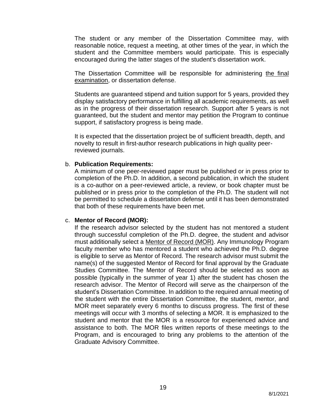The student or any member of the Dissertation Committee may, with reasonable notice, request a meeting, at other times of the year, in which the student and the Committee members would participate. This is especially encouraged during the latter stages of the student's dissertation work.

The Dissertation Committee will be responsible for administering the final examination, or dissertation defense.

Students are guaranteed stipend and tuition support for 5 years, provided they display satisfactory performance in fulfilling all academic requirements, as well as in the progress of their dissertation research. Support after 5 years is not guaranteed, but the student and mentor may petition the Program to continue support, if satisfactory progress is being made.

It is expected that the dissertation project be of sufficient breadth, depth, and novelty to result in first-author research publications in high quality peerreviewed journals.

#### <span id="page-20-0"></span>b. **Publication Requirements:**

A minimum of one peer-reviewed paper must be published or in press prior to completion of the Ph.D. In addition, a second publication, in which the student is a co-author on a peer-reviewed article, a review, or book chapter must be published or in press prior to the completion of the Ph.D. The student will not be permitted to schedule a dissertation defense until it has been demonstrated that both of these requirements have been met.

## <span id="page-20-1"></span>c. **Mentor of Record (MOR):**

If the research advisor selected by the student has not mentored a student through successful completion of the Ph.D. degree, the student and advisor must additionally select a Mentor of Record (MOR). Any Immunology Program faculty member who has mentored a student who achieved the Ph.D. degree is eligible to serve as Mentor of Record. The research advisor must submit the name(s) of the suggested Mentor of Record for final approval by the Graduate Studies Committee. The Mentor of Record should be selected as soon as possible (typically in the summer of year 1) after the student has chosen the research advisor. The Mentor of Record will serve as the chairperson of the student's Dissertation Committee. In addition to the required annual meeting of the student with the entire Dissertation Committee, the student, mentor, and MOR meet separately every 6 months to discuss progress. The first of these meetings will occur with 3 months of selecting a MOR. It is emphasized to the student and mentor that the MOR is a resource for experienced advice and assistance to both. The MOR files written reports of these meetings to the Program, and is encouraged to bring any problems to the attention of the Graduate Advisory Committee.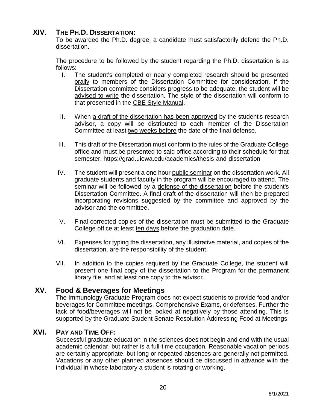# <span id="page-21-0"></span>**XIV. THE PH.D. DISSERTATION:**

To be awarded the Ph.D. degree, a candidate must satisfactorily defend the Ph.D. dissertation.

The procedure to be followed by the student regarding the Ph.D. dissertation is as follows:

- I. The student's completed or nearly completed research should be presented orally to members of the Dissertation Committee for consideration. If the Dissertation committee considers progress to be adequate, the student will be advised to write the dissertation. The style of the dissertation will conform to that presented in the CBE Style Manual.
- II. When a draft of the dissertation has been approved by the student's research advisor, a copy will be distributed to each member of the Dissertation Committee at least two weeks before the date of the final defense.
- III. This draft of the Dissertation must conform to the rules of the Graduate College office and must be presented to said office according to their schedule for that semester. https://grad.uiowa.edu/academics/thesis-and-dissertation
- IV. The student will present a one hour public seminar on the dissertation work. All graduate students and faculty in the program will be encouraged to attend. The seminar will be followed by a defense of the dissertation before the student's Dissertation Committee. A final draft of the dissertation will then be prepared incorporating revisions suggested by the committee and approved by the advisor and the committee.
- V. Final corrected copies of the dissertation must be submitted to the Graduate College office at least ten days before the graduation date.
- VI. Expenses for typing the dissertation, any illustrative material, and copies of the dissertation, are the responsibility of the student.
- VII. In addition to the copies required by the Graduate College, the student will present one final copy of the dissertation to the Program for the permanent library file, and at least one copy to the advisor.

## **XV. Food & Beverages for Meetings**

<span id="page-21-1"></span>The Immunology Graduate Program does not expect students to provide food and/or beverages for Committee meetings, Comprehensive Exams, or defenses. Further the lack of food/beverages will not be looked at negatively by those attending. This is supported by the Graduate Student Senate Resolution Addressing Food at Meetings.

## **XVI. PAY AND TIME OFF:**

<span id="page-21-2"></span>Successful graduate education in the sciences does not begin and end with the usual academic calendar, but rather is a full-time occupation. Reasonable vacation periods are certainly appropriate, but long or repeated absences are generally not permitted. Vacations or any other planned absences should be discussed in advance with the individual in whose laboratory a student is rotating or working.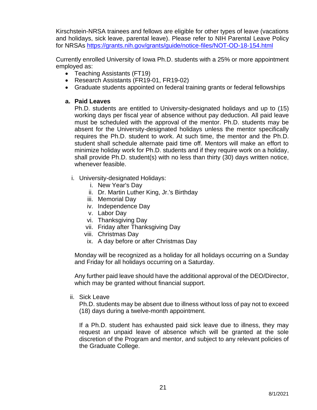Kirschstein-NRSA trainees and fellows are eligible for other types of leave (vacations and holidays, sick leave, parental leave). Please refer to NIH Parental Leave Policy for NRSAs<https://grants.nih.gov/grants/guide/notice-files/NOT-OD-18-154.html>

Currently enrolled University of Iowa Ph.D. students with a 25% or more appointment employed as:

- Teaching Assistants (FT19)
- Research Assistants (FR19-01, FR19-02)
- Graduate students appointed on federal training grants or federal fellowships

## <span id="page-22-0"></span>**a. Paid Leaves**

Ph.D. students are entitled to University-designated holidays and up to (15) working days per fiscal year of absence without pay deduction. All paid leave must be scheduled with the approval of the mentor. Ph.D. students may be absent for the University-designated holidays unless the mentor specifically requires the Ph.D. student to work. At such time, the mentor and the Ph.D. student shall schedule alternate paid time off. Mentors will make an effort to minimize holiday work for Ph.D. students and if they require work on a holiday, shall provide Ph.D. student(s) with no less than thirty (30) days written notice, whenever feasible.

- i. University-designated Holidays:
	- i. New Year's Day
	- ii. Dr. Martin Luther King, Jr.'s Birthday
	- iii. Memorial Day
	- iv. Independence Day
	- v. Labor Day
	- vi. Thanksgiving Day
	- vii. Friday after Thanksgiving Day
	- viii. Christmas Day
	- ix. A day before or after Christmas Day

Monday will be recognized as a holiday for all holidays occurring on a Sunday and Friday for all holidays occurring on a Saturday.

Any further paid leave should have the additional approval of the DEO/Director, which may be granted without financial support.

ii. Sick Leave

Ph.D. students may be absent due to illness without loss of pay not to exceed (18) days during a twelve-month appointment.

If a Ph.D. student has exhausted paid sick leave due to illness, they may request an unpaid leave of absence which will be granted at the sole discretion of the Program and mentor, and subject to any relevant policies of the Graduate College.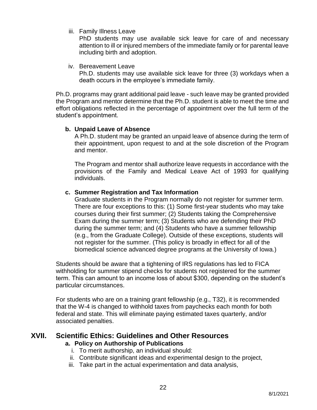iii. Family Illness Leave

PhD students may use available sick leave for care of and necessary attention to ill or injured members of the immediate family or for parental leave including birth and adoption.

iv. Bereavement Leave

Ph.D. students may use available sick leave for three (3) workdays when a death occurs in the employee's immediate family.

Ph.D. programs may grant additional paid leave - such leave may be granted provided the Program and mentor determine that the Ph.D. student is able to meet the time and effort obligations reflected in the percentage of appointment over the full term of the student's appointment.

## <span id="page-23-0"></span>**b. Unpaid Leave of Absence**

A Ph.D. student may be granted an unpaid leave of absence during the term of their appointment, upon request to and at the sole discretion of the Program and mentor.

The Program and mentor shall authorize leave requests in accordance with the provisions of the Family and Medical Leave Act of 1993 for qualifying individuals.

## <span id="page-23-1"></span>**c. Summer Registration and Tax Information**

Graduate students in the Program normally do not register for summer term. There are four exceptions to this: (1) Some first-year students who may take courses during their first summer; (2) Students taking the Comprehensive Exam during the summer term; (3) Students who are defending their PhD during the summer term; and (4) Students who have a summer fellowship (e.g., from the Graduate College). Outside of these exceptions, students will not register for the summer. (This policy is broadly in effect for all of the biomedical science advanced degree programs at the University of Iowa.)

Students should be aware that a tightening of IRS regulations has led to FICA withholding for summer stipend checks for students not registered for the summer term. This can amount to an income loss of about \$300, depending on the student's particular circumstances.

For students who are on a training grant fellowship (e.g., T32), it is recommended that the W-4 is changed to withhold taxes from paychecks each month for both federal and state. This will eliminate paying estimated taxes quarterly, and/or associated penalties.

## <span id="page-23-3"></span>**XVII. Scientific Ethics: Guidelines and Other Resources a. Policy on Authorship of Publications**

- <span id="page-23-2"></span>i. To merit authorship, an individual should:
- ii. Contribute significant ideas and experimental design to the project,
- iii. Take part in the actual experimentation and data analysis,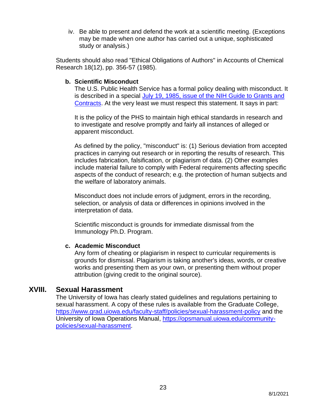iv. Be able to present and defend the work at a scientific meeting. (Exceptions may be made when one author has carried out a unique, sophisticated study or analysis.)

<span id="page-24-0"></span>Students should also read "Ethical Obligations of Authors" in Accounts of Chemical Research 18(12), pp. 356-57 (1985).

## **b. Scientific Misconduct**

The U.S. Public Health Service has a formal policy dealing with misconduct. It is described in a special [July 19, 1985, issue of the NIH Guide to Grants and](https://grants.nih.gov/grants/guide/historical/1985_07_18_Vol_14_No_09.pdf)  [Contracts.](https://grants.nih.gov/grants/guide/historical/1985_07_18_Vol_14_No_09.pdf) At the very least we must respect this statement. It says in part:

It is the policy of the PHS to maintain high ethical standards in research and to investigate and resolve promptly and fairly all instances of alleged or apparent misconduct.

As defined by the policy, "misconduct" is: (1) Serious deviation from accepted practices in carrying out research or in reporting the results of research. This includes fabrication, falsification, or plagiarism of data. (2) Other examples include material failure to comply with Federal requirements affecting specific aspects of the conduct of research; e.g. the protection of human subjects and the welfare of laboratory animals.

Misconduct does not include errors of judgment, errors in the recording, selection, or analysis of data or differences in opinions involved in the interpretation of data.

Scientific misconduct is grounds for immediate dismissal from the Immunology Ph.D. Program.

## <span id="page-24-1"></span>**c. Academic Misconduct**

Any form of cheating or plagiarism in respect to curricular requirements is grounds for dismissal. Plagiarism is taking another's ideas, words, or creative works and presenting them as your own, or presenting them without proper attribution (giving credit to the original source).

# **XVIII. Sexual Harassment**

<span id="page-24-2"></span>The University of Iowa has clearly stated guidelines and regulations pertaining to sexual harassment. A copy of these rules is available from the Graduate College, <https://www.grad.uiowa.edu/faculty-staff/policies/sexual-harassment-policy> and the University of Iowa Operations Manual, [https://opsmanual.uiowa.edu/community](https://opsmanual.uiowa.edu/community-policies/sexual-harassment)[policies/sexual-harassment.](https://opsmanual.uiowa.edu/community-policies/sexual-harassment)